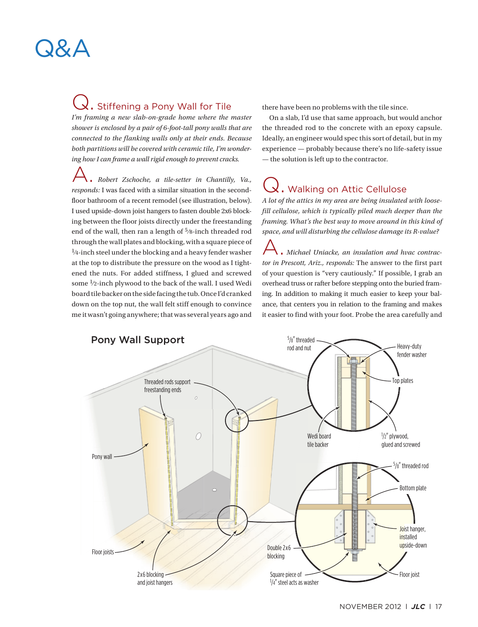### Q. Stiffening a Pony Wall for Tile

*I'm framing a new slab-on-grade home where the master shower is enclosed by a pair of 6-foot-tall pony walls that are connected to the flanking walls only at their ends. Because both partitions will be covered with ceramic tile, I'm wondering how I can frame a wall rigid enough to prevent cracks.* 

A. *Robert Zschoche, a tile-setter in Chantilly, Va., responds:* I was faced with a similar situation in the secondfloor bathroom of a recent remodel (see illustration, below). I used upside-down joist hangers to fasten double 2x6 blocking between the floor joists directly under the freestanding end of the wall, then ran a length of 5⁄8-inch threaded rod through the wall plates and blocking, with a square piece of  $\frac{1}{4}$ -inch steel under the blocking and a heavy fender washer at the top to distribute the pressure on the wood as I tightened the nuts. For added stiffness, I glued and screwed some <sup>1</sup>/2-inch plywood to the back of the wall. I used Wedi board tile backer on the side facing the tub. Once I'd cranked down on the top nut, the wall felt stiff enough to convince me it wasn't going anywhere; that was several years ago and

there have been no problems with the tile since.

On a slab, I'd use that same approach, but would anchor the threaded rod to the concrete with an epoxy capsule. Ideally, an engineer would spec this sort of detail, but in my experience — probably because there's no life-safety issue — the solution is left up to the contractor.

# Q. Walking on Attic Cellulose

*A lot of the attics in my area are being insulated with loosefill cellulose, which is typically piled much deeper than the framing. What's the best way to move around in this kind of space, and will disturbing the cellulose damage its R-value?*

A. *Michael Uniacke, an insulation and hvac contractor in Prescott, Ariz., responds:* The answer to the first part of your question is "very cautiously." If possible, I grab an overhead truss or rafter before stepping onto the buried framing. In addition to making it much easier to keep your balance, that centers you in relation to the framing and makes it easier to find with your foot. Probe the area carefully and